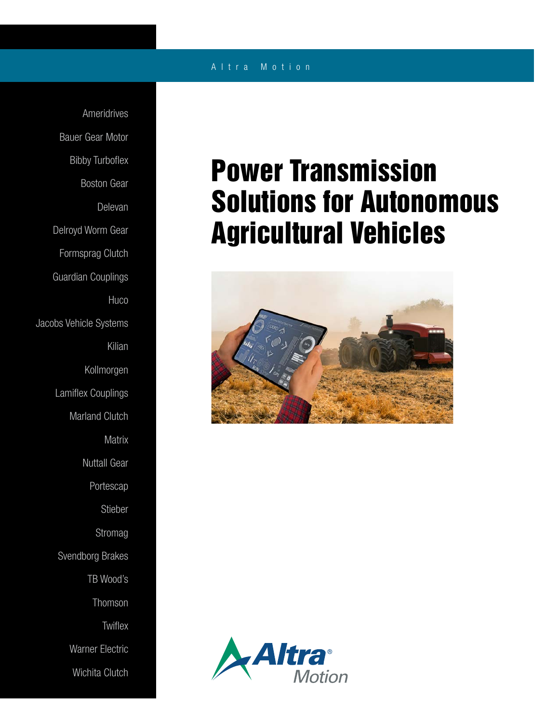### A l t r a M o t i o n

Ameridrives Bauer Gear Motor Bibby Turboflex Boston Gear Delevan Delroyd Worm Gear Formsprag Clutch Guardian Couplings **Huco** Jacobs Vehicle Systems Kilian Kollmorgen Lamiflex Couplings Marland Clutch **Matrix** Nuttall Gear Portescap Stieber Stromag Svendborg Brakes TB Wood's Thomson **Twiflex** Warner Electric Wichita Clutch

# Power Transmission Solutions for Autonomous Agricultural Vehicles



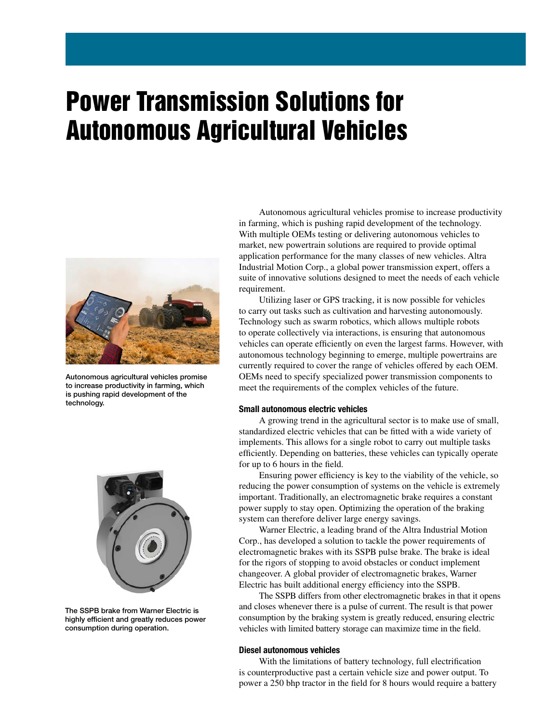## Power Transmission Solutions for Autonomous Agricultural Vehicles



Autonomous agricultural vehicles promise to increase productivity in farming, which is pushing rapid development of the technology.



The SSPB brake from Warner Electric is highly efficient and greatly reduces power consumption during operation.

Autonomous agricultural vehicles promise to increase productivity in farming, which is pushing rapid development of the technology. With multiple OEMs testing or delivering autonomous vehicles to market, new powertrain solutions are required to provide optimal application performance for the many classes of new vehicles. Altra Industrial Motion Corp., a global power transmission expert, offers a suite of innovative solutions designed to meet the needs of each vehicle requirement.

Utilizing laser or GPS tracking, it is now possible for vehicles to carry out tasks such as cultivation and harvesting autonomously. Technology such as swarm robotics, which allows multiple robots to operate collectively via interactions, is ensuring that autonomous vehicles can operate efficiently on even the largest farms. However, with autonomous technology beginning to emerge, multiple powertrains are currently required to cover the range of vehicles offered by each OEM. OEMs need to specify specialized power transmission components to meet the requirements of the complex vehicles of the future.

#### Small autonomous electric vehicles

A growing trend in the agricultural sector is to make use of small, standardized electric vehicles that can be fitted with a wide variety of implements. This allows for a single robot to carry out multiple tasks efficiently. Depending on batteries, these vehicles can typically operate for up to 6 hours in the field.

Ensuring power efficiency is key to the viability of the vehicle, so reducing the power consumption of systems on the vehicle is extremely important. Traditionally, an electromagnetic brake requires a constant power supply to stay open. Optimizing the operation of the braking system can therefore deliver large energy savings.

Warner Electric, a leading brand of the Altra Industrial Motion Corp., has developed a solution to tackle the power requirements of electromagnetic brakes with its SSPB pulse brake. The brake is ideal for the rigors of stopping to avoid obstacles or conduct implement changeover. A global provider of electromagnetic brakes, Warner Electric has built additional energy efficiency into the SSPB.

The SSPB differs from other electromagnetic brakes in that it opens and closes whenever there is a pulse of current. The result is that power consumption by the braking system is greatly reduced, ensuring electric vehicles with limited battery storage can maximize time in the field.

#### Diesel autonomous vehicles

With the limitations of battery technology, full electrification is counterproductive past a certain vehicle size and power output. To power a 250 bhp tractor in the field for 8 hours would require a battery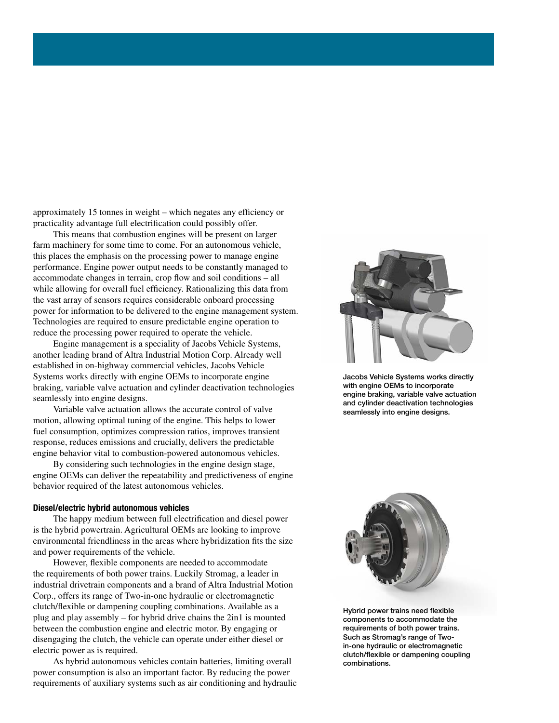approximately 15 tonnes in weight – which negates any efficiency or practicality advantage full electrification could possibly offer.

This means that combustion engines will be present on larger farm machinery for some time to come. For an autonomous vehicle, this places the emphasis on the processing power to manage engine performance. Engine power output needs to be constantly managed to accommodate changes in terrain, crop flow and soil conditions – all while allowing for overall fuel efficiency. Rationalizing this data from the vast array of sensors requires considerable onboard processing power for information to be delivered to the engine management system. Technologies are required to ensure predictable engine operation to reduce the processing power required to operate the vehicle.

Engine management is a speciality of Jacobs Vehicle Systems, another leading brand of Altra Industrial Motion Corp. Already well established in on-highway commercial vehicles, Jacobs Vehicle Systems works directly with engine OEMs to incorporate engine braking, variable valve actuation and cylinder deactivation technologies seamlessly into engine designs.

Variable valve actuation allows the accurate control of valve motion, allowing optimal tuning of the engine. This helps to lower fuel consumption, optimizes compression ratios, improves transient response, reduces emissions and crucially, delivers the predictable engine behavior vital to combustion-powered autonomous vehicles.

By considering such technologies in the engine design stage, engine OEMs can deliver the repeatability and predictiveness of engine behavior required of the latest autonomous vehicles.

#### Diesel/electric hybrid autonomous vehicles

The happy medium between full electrification and diesel power is the hybrid powertrain. Agricultural OEMs are looking to improve environmental friendliness in the areas where hybridization fits the size and power requirements of the vehicle.

However, flexible components are needed to accommodate the requirements of both power trains. Luckily Stromag, a leader in industrial drivetrain components and a brand of Altra Industrial Motion Corp., offers its range of Two-in-one hydraulic or electromagnetic clutch/flexible or dampening coupling combinations. Available as a plug and play assembly – for hybrid drive chains the 2in1 is mounted between the combustion engine and electric motor. By engaging or disengaging the clutch, the vehicle can operate under either diesel or electric power as is required.

As hybrid autonomous vehicles contain batteries, limiting overall power consumption is also an important factor. By reducing the power requirements of auxiliary systems such as air conditioning and hydraulic



Jacobs Vehicle Systems works directly with engine OEMs to incorporate engine braking, variable valve actuation and cylinder deactivation technologies seamlessly into engine designs.



Hybrid power trains need flexible components to accommodate the requirements of both power trains. Such as Stromag's range of Twoin-one hydraulic or electromagnetic clutch/flexible or dampening coupling combinations.